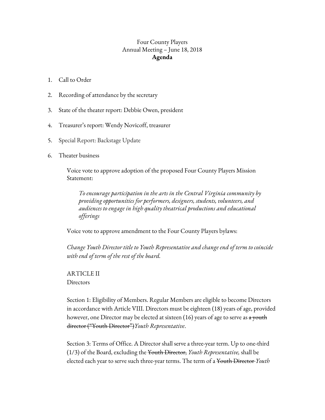## Four County Players Annual Meeting – June 18, 2018 **Agenda**

- 1. Call to Order
- 2. Recording of attendance by the secretary
- 3. State of the theater report: Debbie Owen, president
- 4. Treasurer's report: Wendy Novicoff, treasurer
- 5. Special Report: Backstage Update
- 6. Theater business

Voice vote to approve adoption of the proposed Four County Players Mission Statement:

*To encourage participation in the arts in the Central Virginia community by providing opportunities for performers, designers, students, volunteers, and audiences to engage in high quality theatrical productions and educational of erings*

Voice vote to approve amendment to the Four County Players bylaws:

*Change Youth Director title to Youth Representative and change end of term to coincide with end of term of the rest of the board.*

ARTICLE II **Directors** 

Section 1: Eligibility of Members. Regular Members are eligible to become Directors in accordance with Article VIII. Directors must be eighteen (18) years of age, provided however, one Director may be elected at sixteen (16) years of age to serve as <del>a youth</del> director ("Youth Director")*Youth Representative*.

Section 3: Terms of Office. A Director shall serve a three-year term. Up to one-third (1/3) of the Board, excluding the Youth Director, *Youth Representative,* shall be elected each year to serve such three-year terms. The term of a Youth Director *Youth*